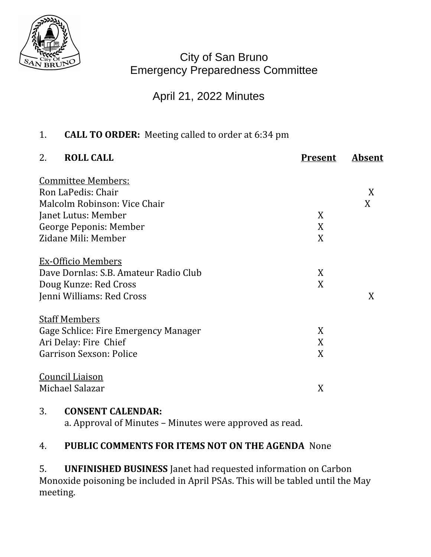

City of San Bruno Emergency Preparedness Committee

# April 21, 2022 Minutes

## 1. **CALL TO ORDER:** Meeting called to order at 6:34 pm

| 2.<br><b>ROLL CALL</b>                | <b>Present</b> | Absent |
|---------------------------------------|----------------|--------|
| <b>Committee Members:</b>             |                |        |
| Ron LaPedis: Chair                    |                | X      |
| Malcolm Robinson: Vice Chair          |                | X      |
| Janet Lutus: Member                   | X              |        |
| George Peponis: Member                | X              |        |
| Zidane Mili: Member                   | X              |        |
| <b>Ex-Officio Members</b>             |                |        |
| Dave Dornlas: S.B. Amateur Radio Club | X              |        |
| Doug Kunze: Red Cross                 | X              |        |
| Jenni Williams: Red Cross             |                | X      |
| <b>Staff Members</b>                  |                |        |
| Gage Schlice: Fire Emergency Manager  | X              |        |
| Ari Delay: Fire Chief                 | X              |        |
| Garrison Sexson: Police               | X              |        |
| <b>Council Liaison</b>                |                |        |
| Michael Salazar                       | X              |        |
|                                       |                |        |

## 3. **CONSENT CALENDAR:**

a. Approval of Minutes – Minutes were approved as read.

## 4. **PUBLIC COMMENTS FOR ITEMS NOT ON THE AGENDA** None

5. **UNFINISHED BUSINESS** Janet had requested information on Carbon Monoxide poisoning be included in April PSAs. This will be tabled until the May meeting.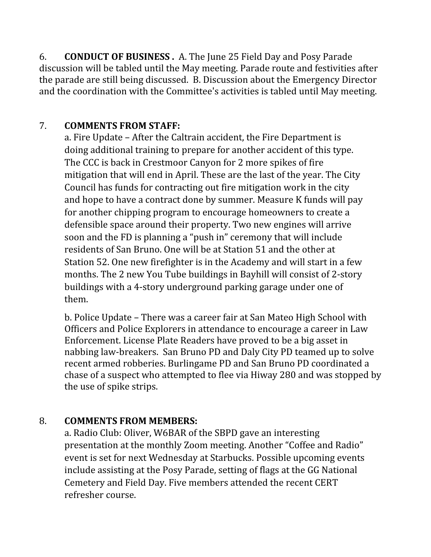6. **CONDUCT OF BUSINESS .** A. The June 25 Field Day and Posy Parade discussion will be tabled until the May meeting. Parade route and festivities after the parade are still being discussed. B. Discussion about the Emergency Director and the coordination with the Committee's activities is tabled until May meeting.

#### 7. **COMMENTS FROM STAFF:**

a. Fire Update – After the Caltrain accident, the Fire Department is doing additional training to prepare for another accident of this type. The CCC is back in Crestmoor Canyon for 2 more spikes of fire mitigation that will end in April. These are the last of the year. The City Council has funds for contracting out fire mitigation work in the city and hope to have a contract done by summer. Measure K funds will pay for another chipping program to encourage homeowners to create a defensible space around their property. Two new engines will arrive soon and the FD is planning a "push in" ceremony that will include residents of San Bruno. One will be at Station 51 and the other at Station 52. One new firefighter is in the Academy and will start in a few months. The 2 new You Tube buildings in Bayhill will consist of 2-story buildings with a 4-story underground parking garage under one of them.

b. Police Update – There was a career fair at San Mateo High School with Officers and Police Explorers in attendance to encourage a career in Law Enforcement. License Plate Readers have proved to be a big asset in nabbing law-breakers. San Bruno PD and Daly City PD teamed up to solve recent armed robberies. Burlingame PD and San Bruno PD coordinated a chase of a suspect who attempted to flee via Hiway 280 and was stopped by the use of spike strips.

## 8. **COMMENTS FROM MEMBERS:**

a. Radio Club: Oliver, W6BAR of the SBPD gave an interesting presentation at the monthly Zoom meeting. Another "Coffee and Radio" event is set for next Wednesday at Starbucks. Possible upcoming events include assisting at the Posy Parade, setting of flags at the GG National Cemetery and Field Day. Five members attended the recent CERT refresher course.